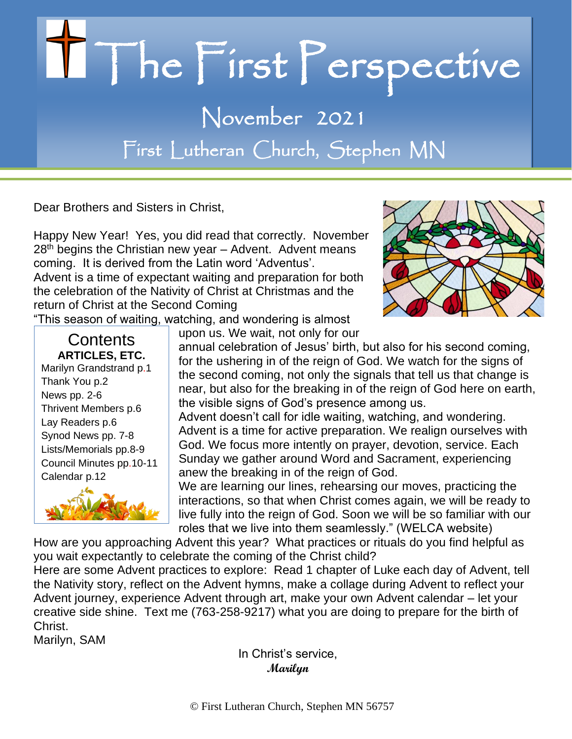# II The First Perspective

November 2021

First Lutheran Church, Stephen MN

Dear Brothers and Sisters in Christ,

Happy New Year! Yes, you did read that correctly. November  $28<sup>th</sup>$  begins the Christian new year – Advent. Advent means coming. It is derived from the Latin word 'Adventus'. Advent is a time of expectant waiting and preparation for both the celebration of the Nativity of Christ at Christmas and the

return of Christ at the Second Coming



"This season of waiting, watching, and wondering is almost

**Contents ARTICLES, ETC.** Marilyn Grandstrand p.1 Thank You p.2 News pp. 2-6 Thrivent Members p.6 Lay Readers p.6 Synod News pp. 7-8 Lists/Memorials pp.8-9 Council Minutes pp.10-11 Calendar p.12



upon us. We wait, not only for our annual celebration of Jesus' birth, but also for his [second co](https://creativecommons.org/licenses/by-nc-sa/3.0/)ming, for the ushering in of the reign of God. We watch for the signs of the second coming, not only the signals that tell us that change is near, but also for the breaking in of the reign of God here on earth,

the visible signs of God's presence among us. Advent doesn't call for idle waiting, watching, and wondering. Advent is a time for active preparation. We realign ourselves with God. We focus more intently on prayer, devotion, service. Each Sunday we gather around Word and Sacrament, experiencing anew the breaking in of the reign of God.

We are learning our lines, rehearsing our moves, practicing the interactions, so that when Christ comes again, we will be ready to live fully into the reign of God. Soon we will be so familiar with our roles that we live into them seamlessly." (WELCA website)

How are you approaching Advent this year? What practices or rituals do you find helpful as you wait expectantly to celebrate the coming of the Christ child?

Here are some Advent practices to explore: Read 1 chapter of Luke each day of Advent, tell the Nativity story, reflect on the Advent hymns, make a collage during Advent to reflect your Advent journey, experience Advent through art, make your own Advent calendar – let your creative side shine. Text me (763-258-9217) what you are doing to prepare for the birth of Christ.

Marilyn, SAM

In Christ's service, **Marilyn**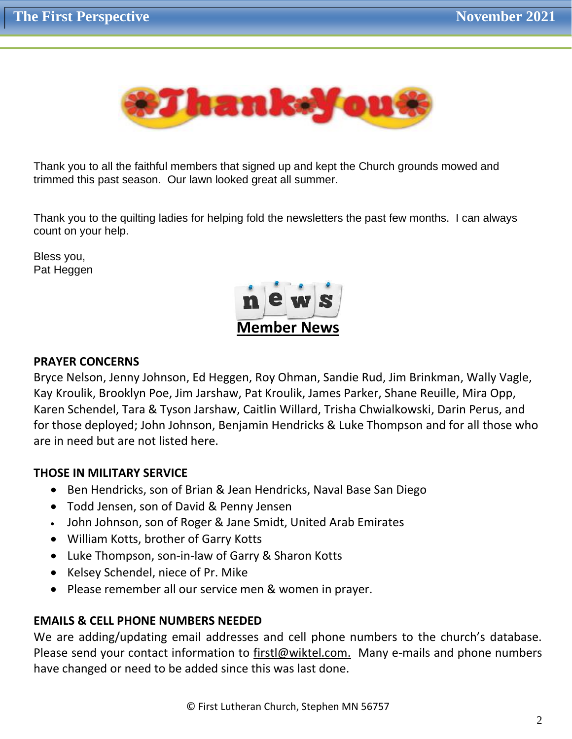

Thank you to all the faithful members that signed up and kept the Church grounds mowed and trimmed this past season. Our lawn looked great all summer.

Thank you to the quilting ladies for helping fold the newsletters the past few months. I can always count on your help.

Bless you, Pat Heggen



#### **PRAYER CONCERNS**

Bryce Nelson, Jenny Johnson, Ed Heggen, Roy Ohman, Sandie Rud, Jim Brinkman, Wally Vagle, Kay Kroulik, Brooklyn Poe, Jim Jarshaw, Pat Kroulik, James Parker, Shane Reuille, Mira Opp, Karen Schendel, Tara & Tyson Jarshaw, Caitlin Willard, Trisha Chwialkowski, Darin Perus, and for those deployed; John Johnson, Benjamin Hendricks & Luke Thompson and for all those who are in need but are not listed here.

#### **THOSE IN MILITARY SERVICE**

- Ben Hendricks, son of Brian & Jean Hendricks, Naval Base San Diego
- Todd Jensen, son of David & Penny Jensen
- John Johnson, son of Roger & Jane Smidt, United Arab Emirates
- William Kotts, brother of Garry Kotts
- Luke Thompson, son-in-law of Garry & Sharon Kotts
- Kelsey Schendel, niece of Pr. Mike
- Please remember all our service men & women in prayer.

#### **EMAILS & CELL PHONE NUMBERS NEEDED**

We are adding/updating email addresses and cell phone numbers to the church's database. Please send your contact information to [firstl@wiktel.com.](mailto:firstl@wiktel.com) Many e-mails and phone numbers have changed or need to be added since this was last done.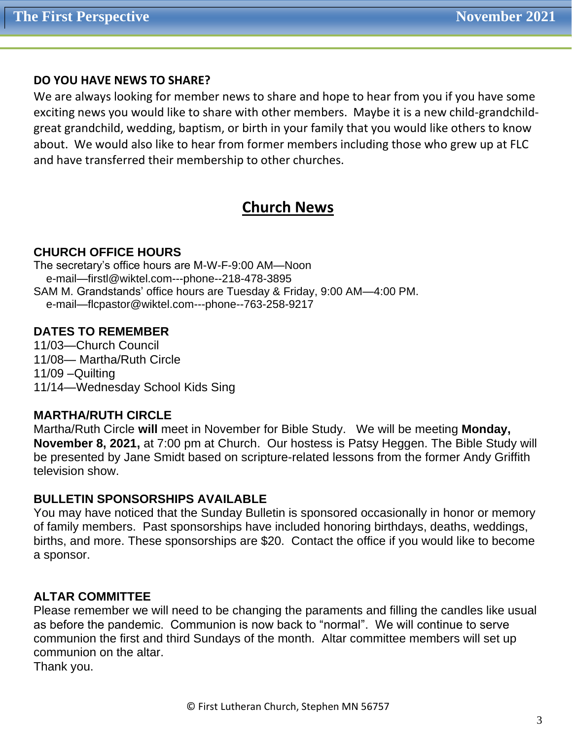#### **DO YOU HAVE NEWS TO SHARE?**

We are always looking for member news to share and hope to hear from you if you have some exciting news you would like to share with other members. Maybe it is a new child-grandchildgreat grandchild, wedding, baptism, or birth in your family that you would like others to know about. We would also like to hear from former members including those who grew up at FLC and have transferred their membership to other churches.

### **Church News**

#### **CHURCH OFFICE HOURS**

The secretary's office hours are M-W-F-9:00 AM—Noon e-mail—firstl@wiktel.com---phone--218-478-3895 SAM M. Grandstands' office hours are Tuesday & Friday, 9:00 AM—4:00 PM. e-mail—flcpastor@wiktel.com---phone--763-258-9217

#### **DATES TO REMEMBER**

11/03—Church Council 11/08— Martha/Ruth Circle 11/09 –Quilting 11/14—Wednesday School Kids Sing

#### **MARTHA/RUTH CIRCLE**

Martha/Ruth Circle **will** meet in November for Bible Study. We will be meeting **Monday, November 8, 2021,** at 7:00 pm at Church. Our hostess is Patsy Heggen. The Bible Study will be presented by Jane Smidt based on scripture-related lessons from the former Andy Griffith television show.

#### **BULLETIN SPONSORSHIPS AVAILABLE**

You may have noticed that the Sunday Bulletin is sponsored occasionally in honor or memory of family members. Past sponsorships have included honoring birthdays, deaths, weddings, births, and more. These sponsorships are \$20. Contact the office if you would like to become a sponsor.

#### **ALTAR COMMITTEE**

Please remember we will need to be changing the paraments and filling the candles like usual as before the pandemic. Communion is now back to "normal". We will continue to serve communion the first and third Sundays of the month. Altar committee members will set up communion on the altar.

Thank you.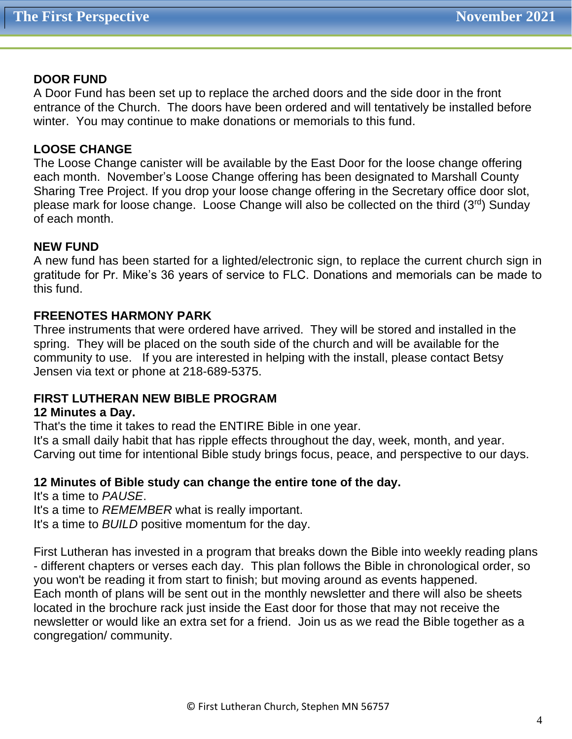#### **DOOR FUND**

A Door Fund has been set up to replace the arched doors and the side door in the front entrance of the Church. The doors have been ordered and will tentatively be installed before winter. You may continue to make donations or memorials to this fund.

#### **LOOSE CHANGE**

The Loose Change canister will be available by the East Door for the loose change offering each month. November's Loose Change offering has been designated to Marshall County Sharing Tree Project. If you drop your loose change offering in the Secretary office door slot, please mark for loose change. Loose Change will also be collected on the third (3rd) Sunday of each month.

#### **NEW FUND**

A new fund has been started for a lighted/electronic sign, to replace the current church sign in gratitude for Pr. Mike's 36 years of service to FLC. Donations and memorials can be made to this fund.

#### **FREENOTES HARMONY PARK**

Three instruments that were ordered have arrived. They will be stored and installed in the spring. They will be placed on the south side of the church and will be available for the community to use. If you are interested in helping with the install, please contact Betsy Jensen via text or phone at 218-689-5375.

#### **FIRST LUTHERAN NEW BIBLE PROGRAM**

#### **12 Minutes a Day.**

That's the time it takes to read the ENTIRE Bible in one year.

It's a small daily habit that has ripple effects throughout the day, week, month, and year. Carving out time for intentional Bible study brings focus, peace, and perspective to our days.

#### **12 Minutes of Bible study can change the entire tone of the day.**

It's a time to *PAUSE*.

It's a time to *REMEMBER* what is really important.

It's a time to *BUILD* positive momentum for the day.

First Lutheran has invested in a program that breaks down the Bible into weekly reading plans - different chapters or verses each day. This plan follows the Bible in chronological order, so you won't be reading it from start to finish; but moving around as events happened. Each month of plans will be sent out in the monthly newsletter and there will also be sheets located in the brochure rack just inside the East door for those that may not receive the newsletter or would like an extra set for a friend. Join us as we read the Bible together as a congregation/ community.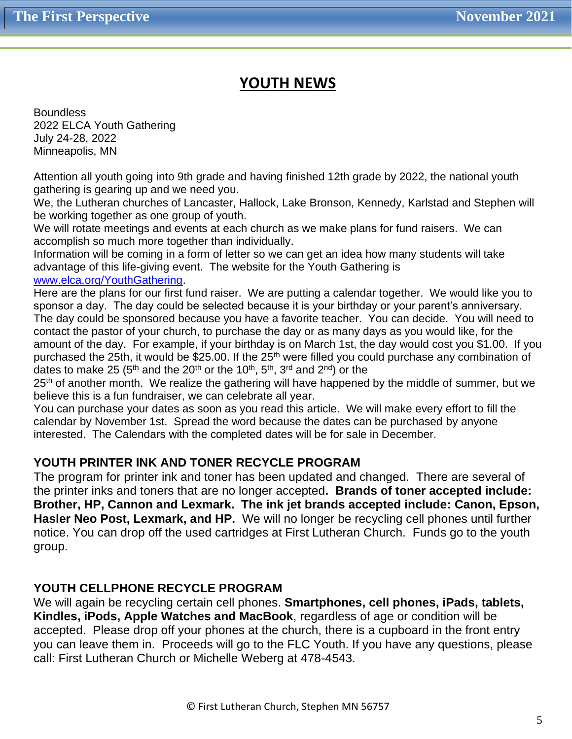# **YOUTH NEWS**

**Boundless** 2022 ELCA Youth Gathering July 24-28, 2022 Minneapolis, MN

Attention all youth going into 9th grade and having finished 12th grade by 2022, the national youth gathering is gearing up and we need you.

We, the Lutheran churches of Lancaster, Hallock, Lake Bronson, Kennedy, Karlstad and Stephen will be working together as one group of youth.

We will rotate meetings and events at each church as we make plans for fund raisers. We can accomplish so much more together than individually.

Information will be coming in a form of letter so we can get an idea how many students will take advantage of this life-giving event. The website for the Youth Gathering is [www.elca.org/YouthGathering.](http://www.elca.org/YouthGathering)

Here are the plans for our first fund raiser. We are putting a calendar together. We would like you to sponsor a day. The day could be selected because it is your birthday or your parent's anniversary. The day could be sponsored because you have a favorite teacher. You can decide. You will need to contact the pastor of your church, to purchase the day or as many days as you would like, for the amount of the day. For example, if your birthday is on March 1st, the day would cost you \$1.00. If you purchased the 25th, it would be \$25.00. If the 25<sup>th</sup> were filled you could purchase any combination of dates to make 25 (5<sup>th</sup> and the 20<sup>th</sup> or the 10<sup>th</sup>, 5<sup>th</sup>, 3<sup>rd</sup> and 2<sup>nd</sup>) or the

25<sup>th</sup> of another month. We realize the gathering will have happened by the middle of summer, but we believe this is a fun fundraiser, we can celebrate all year.

You can purchase your dates as soon as you read this article. We will make every effort to fill the calendar by November 1st. Spread the word because the dates can be purchased by anyone interested. The Calendars with the completed dates will be for sale in December.

#### **YOUTH PRINTER INK AND TONER RECYCLE PROGRAM**

The program for printer ink and toner has been updated and changed. There are several of the printer inks and toners that are no longer accepted**. Brands of toner accepted include: Brother, HP, Cannon and Lexmark. The ink jet brands accepted include: Canon, Epson, Hasler Neo Post, Lexmark, and HP.** We will no longer be recycling cell phones until further notice. You can drop off the used cartridges at First Lutheran Church. Funds go to the youth group.

#### **YOUTH CELLPHONE RECYCLE PROGRAM**

We will again be recycling certain cell phones. **Smartphones, cell phones, iPads, tablets, Kindles, iPods, Apple Watches and MacBook**, regardless of age or condition will be accepted. Please drop off your phones at the church, there is a cupboard in the front entry you can leave them in. Proceeds will go to the FLC Youth. If you have any questions, please call: First Lutheran Church or Michelle Weberg at 478-4543.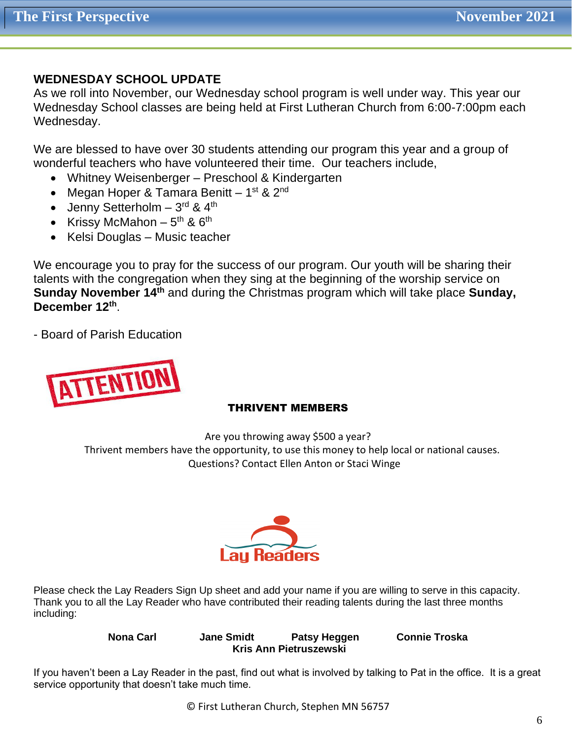#### **WEDNESDAY SCHOOL UPDATE**

As we roll into November, our Wednesday school program is well under way. This year our Wednesday School classes are being held at First Lutheran Church from 6:00-7:00pm each Wednesday.

We are blessed to have over 30 students attending our program this year and a group of wonderful teachers who have volunteered their time. Our teachers include,

- Whitney Weisenberger Preschool & Kindergarten
- Megan Hoper & Tamara Benitt 1<sup>st</sup> & 2<sup>nd</sup>
- Jenny Setterholm  $-3$ <sup>rd</sup> & 4<sup>th</sup>
- Krissy McMahon  $5^{\text{th}}$  &  $6^{\text{th}}$
- Kelsi Douglas Music teacher

We encourage you to pray for the success of our program. Our youth will be sharing their talents with the congregation when they sing at the beginning of the worship service on **Sunday November 14th** and during the Christmas program which will take place **Sunday, December 12th** .

- Board of Parish Education



#### THRIVENT MEMBERS

Are you throwing away \$500 a year? Thrivent members have the opportunity, to use this money to help local or national causes. Questions? Contact Ellen Anton or Staci Winge



Please check the Lay Readers Sign Up sheet and add your name if you are willing to serve in this capacity. Thank you to all the Lay Reader who have contributed their reading talents during the last three months including:

> **Nona Carl Jane Smidt Patsy Heggen Connie Troska Kris Ann Pietruszewski**

If you haven't been a Lay Reader in the past, find out what is involved by talking to Pat in the office. It is a great service opportunity that doesn't take much time.

© First Lutheran Church, Stephen MN 56757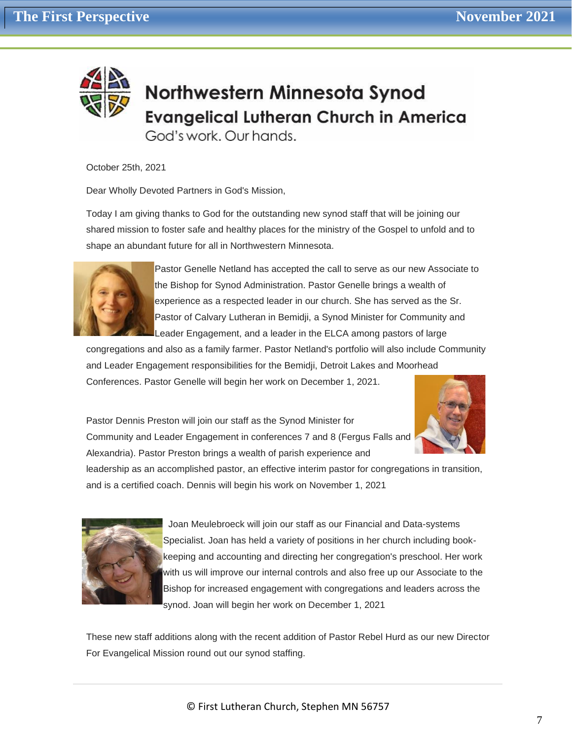

# Northwestern Minnesota Synod **Evangelical Lutheran Church in America** God's work. Our hands.

October 25th, 2021

Dear Wholly Devoted Partners in God's Mission,

Today I am giving thanks to God for the outstanding new synod staff that will be joining our shared mission to foster safe and healthy places for the ministry of the Gospel to unfold and to shape an abundant future for all in Northwestern Minnesota.



Pastor Genelle Netland has accepted the call to serve as our new Associate to the Bishop for Synod Administration. Pastor Genelle brings a wealth of experience as a respected leader in our church. She has served as the Sr. Pastor of Calvary Lutheran in Bemidji, a Synod Minister for Community and Leader Engagement, and a leader in the ELCA among pastors of large

congregations and also as a family farmer. Pastor Netland's portfolio will also include Community and Leader Engagement responsibilities for the Bemidji, Detroit Lakes and Moorhead Conferences. Pastor Genelle will begin her work on December 1, 2021.

Pastor Dennis Preston will join our staff as the Synod Minister for Community and Leader Engagement in conferences 7 and 8 (Fergus Falls and Alexandria). Pastor Preston brings a wealth of parish experience and



leadership as an accomplished pastor, an effective interim pastor for congregations in transition, and is a certified coach. Dennis will begin his work on November 1, 2021



 Joan Meulebroeck will join our staff as our Financial and Data-systems Specialist. Joan has held a variety of positions in her church including bookkeeping and accounting and directing her congregation's preschool. Her work with us will improve our internal controls and also free up our Associate to the Bishop for increased engagement with congregations and leaders across the synod. Joan will begin her work on December 1, 2021

These new staff additions along with the recent addition of Pastor Rebel Hurd as our new Director For Evangelical Mission round out our synod staffing.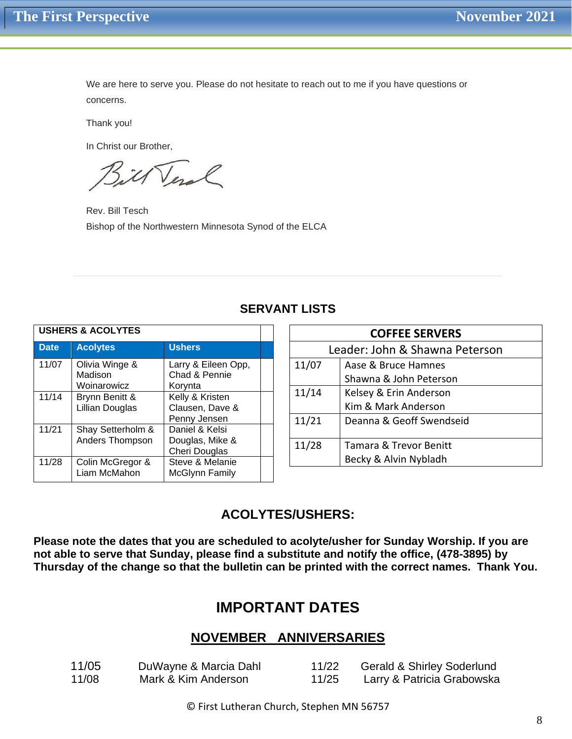We are here to serve you. Please do not hesitate to reach out to me if you have questions or concerns.

Thank you!

In Christ our Brother,

Bill Veral

Rev. Bill Tesch Bishop of the Northwestern Minnesota Synod of the ELCA

| <b>USHERS &amp; ACOLYTES</b> |                                          |                                                    |  |
|------------------------------|------------------------------------------|----------------------------------------------------|--|
| <b>Date</b>                  | <b>Acolytes</b>                          | <b>Ushers</b>                                      |  |
| 11/07                        | Olivia Winge &<br>Madison<br>Woinarowicz | Larry & Eileen Opp,<br>Chad & Pennie<br>Korynta    |  |
| 11/14                        | Brynn Benitt &<br>Lillian Douglas        | Kelly & Kristen<br>Clausen, Dave &<br>Penny Jensen |  |
| 11/21                        | Shay Setterholm &<br>Anders Thompson     | Daniel & Kelsi<br>Douglas, Mike &<br>Cheri Douglas |  |
| 11/28                        | Colin McGregor &<br>Liam McMahon         | Steve & Melanie<br><b>McGlynn Family</b>           |  |

#### **SERVANT LISTS**

| <b>COFFEE SERVERS</b>          |                          |  |  |
|--------------------------------|--------------------------|--|--|
| Leader: John & Shawna Peterson |                          |  |  |
| 11/07                          | Aase & Bruce Hamnes      |  |  |
|                                | Shawna & John Peterson   |  |  |
| 11/14                          | Kelsey & Erin Anderson   |  |  |
|                                | Kim & Mark Anderson      |  |  |
| 11/21                          | Deanna & Geoff Swendseid |  |  |
|                                |                          |  |  |
| 11/28                          | Tamara & Trevor Benitt   |  |  |
|                                | Becky & Alvin Nybladh    |  |  |

#### **ACOLYTES/USHERS:**

**Please note the dates that you are scheduled to acolyte/usher for Sunday Worship. If you are not able to serve that Sunday, please find a substitute and notify the office, (478-3895) by Thursday of the change so that the bulletin can be printed with the correct names. Thank You.**

## **IMPORTANT DATES**

#### **NOVEMBER ANNIVERSARIES**

| 11/05 | DuWayne & Marcia Dahl | 11/22 | <b>Gerald &amp; Shirley Soderlund</b> |
|-------|-----------------------|-------|---------------------------------------|
| 11/08 | Mark & Kim Anderson   | 11/25 | Larry & Patricia Grabowska            |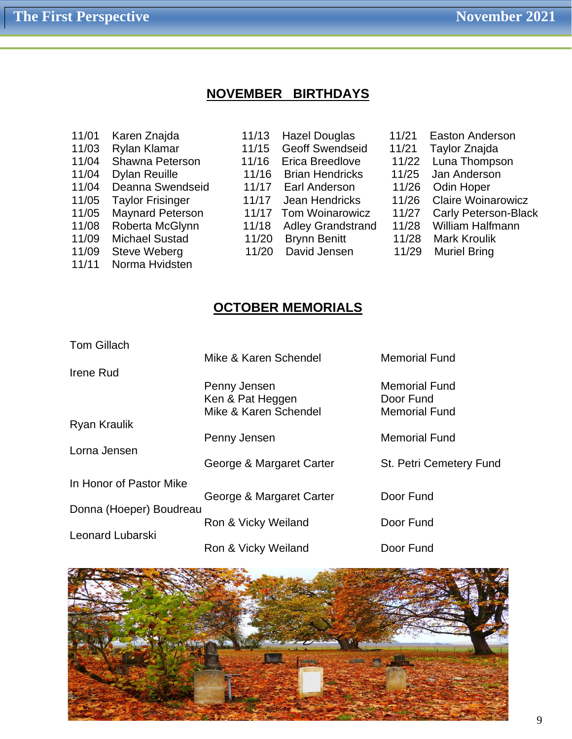# **NOVEMBER BIRTHDAYS**

| 11/01 | Karen Znajda            | 11/13 | <b>Hazel Douglas</b>     | 11/21 | Easton Anderson          |
|-------|-------------------------|-------|--------------------------|-------|--------------------------|
| 11/03 | Rylan Klamar            | 11/15 | <b>Geoff Swendseid</b>   | 11/21 | Taylor Znajda            |
| 11/04 | Shawna Peterson         | 11/16 | Erica Breedlove          | 11/22 | Luna Thompson            |
| 11/04 | <b>Dylan Reuille</b>    | 11/16 | <b>Brian Hendricks</b>   | 11/25 | Jan Anderson             |
| 11/04 | Deanna Swendseid        | 11/17 | Earl Anderson            | 11/26 | Odin Hoper               |
| 11/05 | <b>Taylor Frisinger</b> | 11/17 | Jean Hendricks           | 11/26 | <b>Claire Woinarowid</b> |
| 11/05 | <b>Maynard Peterson</b> |       | 11/17 Tom Woinarowicz    | 11/27 | Carly Peterson-B         |
| 11/08 | Roberta McGlynn         | 11/18 | <b>Adley Grandstrand</b> | 11/28 | William Halfmann         |
| 11/09 | <b>Michael Sustad</b>   | 11/20 | <b>Brynn Benitt</b>      | 11/28 | <b>Mark Kroulik</b>      |
| 11/09 | Steve Weberg            | 11/20 | David Jensen             | 11/29 | <b>Muriel Bring</b>      |
| 11/11 | Norma Hvidsten          |       |                          |       |                          |

| 11/13 | <b>Hazel Douglas</b>     | 11/21 | <b>Easton Anderson</b>  |
|-------|--------------------------|-------|-------------------------|
| 11/15 | <b>Geoff Swendseid</b>   | 11/21 | Taylor Znajda           |
| 11/16 | Erica Breedlove          | 11/22 | Luna Thompson           |
| 11/16 | <b>Brian Hendricks</b>   | 11/25 | Jan Anderson            |
| 11/17 | Earl Anderson            | 11/26 | <b>Odin Hoper</b>       |
| 11/17 | <b>Jean Hendricks</b>    | 11/26 | <b>Claire Woinarowi</b> |
| 11/17 | <b>Tom Woinarowicz</b>   | 11/27 | Carly Peterson-B        |
| 11/18 | <b>Adley Grandstrand</b> | 11/28 | <b>William Halfmanr</b> |
| 11/20 | <b>Brynn Benitt</b>      | 11/28 | <b>Mark Kroulik</b>     |
| 11/20 | David Jensen             | 11/29 | <b>Muriel Bring</b>     |
|       |                          |       |                         |

#### **OCTOBER MEMORIALS**

| <b>Tom Gillach</b>      |                          |                                |  |
|-------------------------|--------------------------|--------------------------------|--|
|                         | Mike & Karen Schendel    | <b>Memorial Fund</b>           |  |
| Irene Rud               |                          |                                |  |
|                         | Penny Jensen             | <b>Memorial Fund</b>           |  |
|                         | Ken & Pat Heggen         | Door Fund                      |  |
|                         | Mike & Karen Schendel    | <b>Memorial Fund</b>           |  |
| Ryan Kraulik            |                          |                                |  |
|                         | Penny Jensen             | <b>Memorial Fund</b>           |  |
| Lorna Jensen            |                          |                                |  |
|                         | George & Margaret Carter | <b>St. Petri Cemetery Fund</b> |  |
| In Honor of Pastor Mike |                          |                                |  |
|                         | George & Margaret Carter | Door Fund                      |  |
| Donna (Hoeper) Boudreau |                          |                                |  |
|                         | Ron & Vicky Weiland      | Door Fund                      |  |
| Leonard Lubarski        |                          |                                |  |
|                         | Ron & Vicky Weiland      | Door Fund                      |  |
|                         |                          |                                |  |

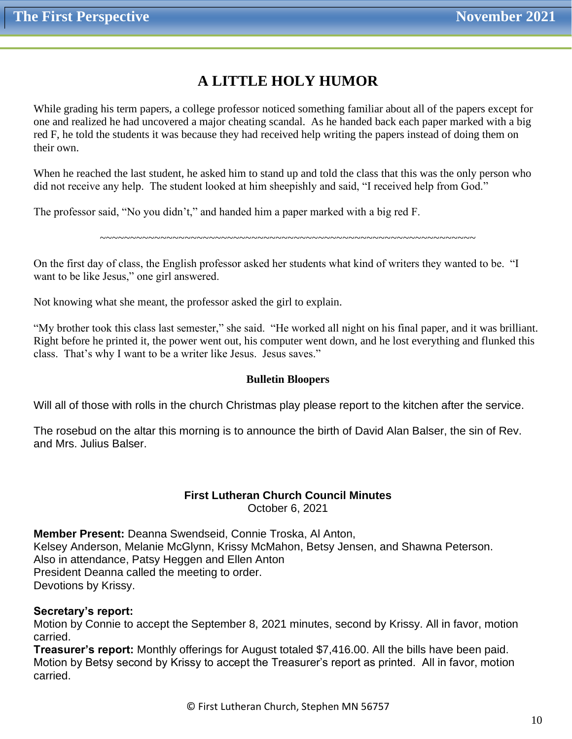# **A LITTLE HOLY HUMOR**

While grading his term papers, a college professor noticed something familiar about all of the papers except for one and realized he had uncovered a major cheating scandal. As he handed back each paper marked with a big red F, he told the students it was because they had received help writing the papers instead of doing them on their own.

When he reached the last student, he asked him to stand up and told the class that this was the only person who did not receive any help. The student looked at him sheepishly and said, "I received help from God."

The professor said, "No you didn't," and handed him a paper marked with a big red F.

~~~~~~~~~~~~~~~~~~~~~~~~~~~~~~~~~~~~~~~~~~~~~~~~~~~~~~~~~~~~~~

On the first day of class, the English professor asked her students what kind of writers they wanted to be. "I want to be like Jesus," one girl answered.

Not knowing what she meant, the professor asked the girl to explain.

"My brother took this class last semester," she said. "He worked all night on his final paper, and it was brilliant. Right before he printed it, the power went out, his computer went down, and he lost everything and flunked this class. That's why I want to be a writer like Jesus. Jesus saves."

#### **Bulletin Bloopers**

Will all of those with rolls in the church Christmas play please report to the kitchen after the service.

The rosebud on the altar this morning is to announce the birth of David Alan Balser, the sin of Rev. and Mrs. Julius Balser.

#### **First Lutheran Church Council Minutes** October 6, 2021

**Member Present:** Deanna Swendseid, Connie Troska, Al Anton, Kelsey Anderson, Melanie McGlynn, Krissy McMahon, Betsy Jensen, and Shawna Peterson. Also in attendance, Patsy Heggen and Ellen Anton President Deanna called the meeting to order. Devotions by Krissy.

#### **Secretary's report:**

Motion by Connie to accept the September 8, 2021 minutes, second by Krissy. All in favor, motion carried.

**Treasurer's report:** Monthly offerings for August totaled \$7,416.00. All the bills have been paid. Motion by Betsy second by Krissy to accept the Treasurer's report as printed. All in favor, motion carried.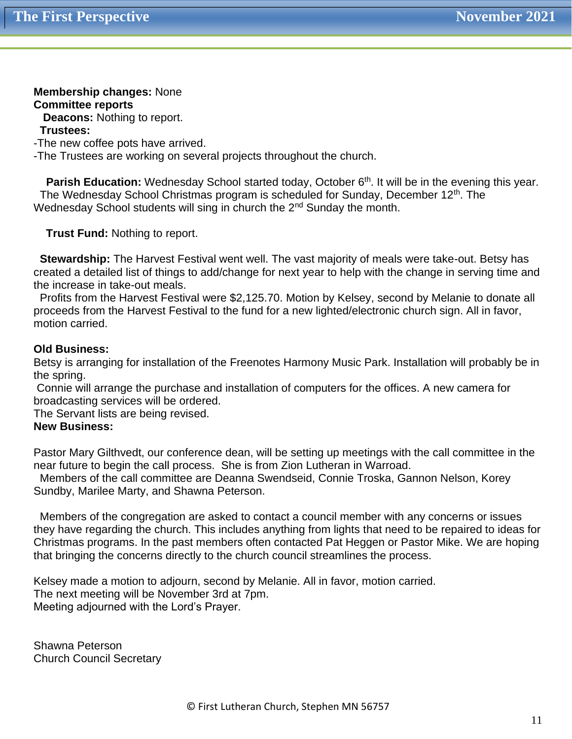**Membership changes:** None **Committee reports** 

 **Deacons:** Nothing to report.

#### **Trustees:**

-The new coffee pots have arrived.

-The Trustees are working on several projects throughout the church.

**Parish Education:** Wednesday School started today, October 6<sup>th</sup>. It will be in the evening this year. The Wednesday School Christmas program is scheduled for Sunday, December 12th. The Wednesday School students will sing in church the 2<sup>nd</sup> Sunday the month.

 **Trust Fund:** Nothing to report.

 **Stewardship:** The Harvest Festival went well. The vast majority of meals were take-out. Betsy has created a detailed list of things to add/change for next year to help with the change in serving time and the increase in take-out meals.

 Profits from the Harvest Festival were \$2,125.70. Motion by Kelsey, second by Melanie to donate all proceeds from the Harvest Festival to the fund for a new lighted/electronic church sign. All in favor, motion carried.

#### **Old Business:**

Betsy is arranging for installation of the Freenotes Harmony Music Park. Installation will probably be in the spring.

Connie will arrange the purchase and installation of computers for the offices. A new camera for broadcasting services will be ordered.

The Servant lists are being revised.

#### **New Business:**

Pastor Mary Gilthvedt, our conference dean, will be setting up meetings with the call committee in the near future to begin the call process. She is from Zion Lutheran in Warroad.

 Members of the call committee are Deanna Swendseid, Connie Troska, Gannon Nelson, Korey Sundby, Marilee Marty, and Shawna Peterson.

 Members of the congregation are asked to contact a council member with any concerns or issues they have regarding the church. This includes anything from lights that need to be repaired to ideas for Christmas programs. In the past members often contacted Pat Heggen or Pastor Mike. We are hoping that bringing the concerns directly to the church council streamlines the process.

Kelsey made a motion to adjourn, second by Melanie. All in favor, motion carried. The next meeting will be November 3rd at 7pm. Meeting adjourned with the Lord's Prayer.

Shawna Peterson Church Council Secretary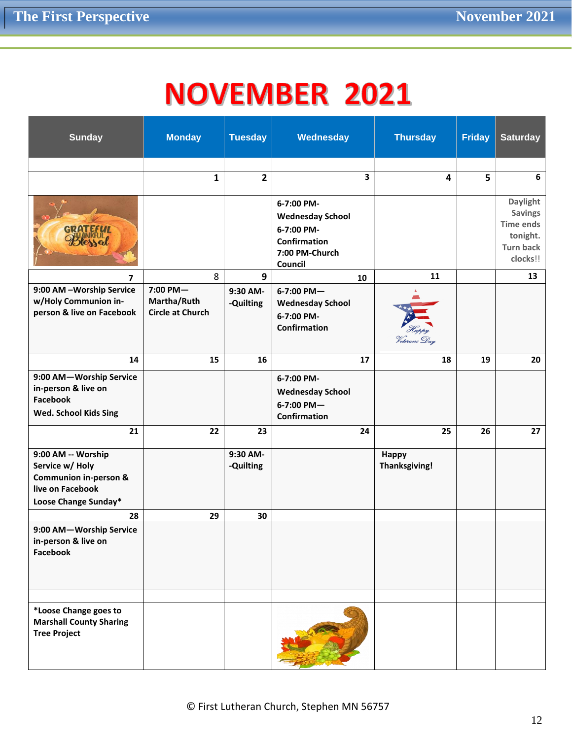# **NOVEMBER 2021**

| <b>Sunday</b>                                                                                                         | <b>Monday</b>                                      | <b>Tuesday</b>        | Wednesday                                                                                               | <b>Thursday</b>                      | <b>Friday</b> | <b>Saturday</b>                                                                                   |
|-----------------------------------------------------------------------------------------------------------------------|----------------------------------------------------|-----------------------|---------------------------------------------------------------------------------------------------------|--------------------------------------|---------------|---------------------------------------------------------------------------------------------------|
|                                                                                                                       |                                                    |                       |                                                                                                         |                                      |               |                                                                                                   |
|                                                                                                                       | $\mathbf{1}$                                       | $\overline{2}$        | 3                                                                                                       | 4                                    | 5             | 6                                                                                                 |
| Blessed                                                                                                               |                                                    |                       | 6-7:00 PM-<br><b>Wednesday School</b><br>6-7:00 PM-<br><b>Confirmation</b><br>7:00 PM-Church<br>Council |                                      |               | <b>Daylight</b><br><b>Savings</b><br><b>Time ends</b><br>tonight.<br><b>Turn back</b><br>clocks!! |
| 7                                                                                                                     | 8                                                  | 9                     | 10                                                                                                      | 11                                   |               | 13                                                                                                |
| 9:00 AM - Worship Service<br>w/Holy Communion in-<br>person & live on Facebook                                        | 7:00 PM-<br>Martha/Ruth<br><b>Circle at Church</b> | 9:30 AM-<br>-Quilting | 6-7:00 PM-<br><b>Wednesday School</b><br>6-7:00 PM-<br><b>Confirmation</b>                              | Veterans Day                         |               |                                                                                                   |
| 14                                                                                                                    | 15                                                 | 16                    | 17                                                                                                      | 18                                   | 19            | 20                                                                                                |
| 9:00 AM-Worship Service<br>in-person & live on<br><b>Facebook</b><br><b>Wed. School Kids Sing</b>                     |                                                    |                       | 6-7:00 PM-<br><b>Wednesday School</b><br>6-7:00 PM-<br>Confirmation                                     |                                      |               |                                                                                                   |
| 21                                                                                                                    | 22                                                 | 23                    | 24                                                                                                      | 25                                   | 26            | 27                                                                                                |
| 9:00 AM -- Worship<br>Service w/ Holy<br><b>Communion in-person &amp;</b><br>live on Facebook<br>Loose Change Sunday* |                                                    | 9:30 AM-<br>-Quilting |                                                                                                         | <b>Happy</b><br><b>Thanksgiving!</b> |               |                                                                                                   |
| 28                                                                                                                    | 29                                                 | 30                    |                                                                                                         |                                      |               |                                                                                                   |
| 9:00 AM-Worship Service<br>in-person & live on<br>Facebook                                                            |                                                    |                       |                                                                                                         |                                      |               |                                                                                                   |
| *Loose Change goes to                                                                                                 |                                                    |                       |                                                                                                         |                                      |               |                                                                                                   |
| <b>Marshall County Sharing</b><br><b>Tree Project</b>                                                                 |                                                    |                       |                                                                                                         |                                      |               |                                                                                                   |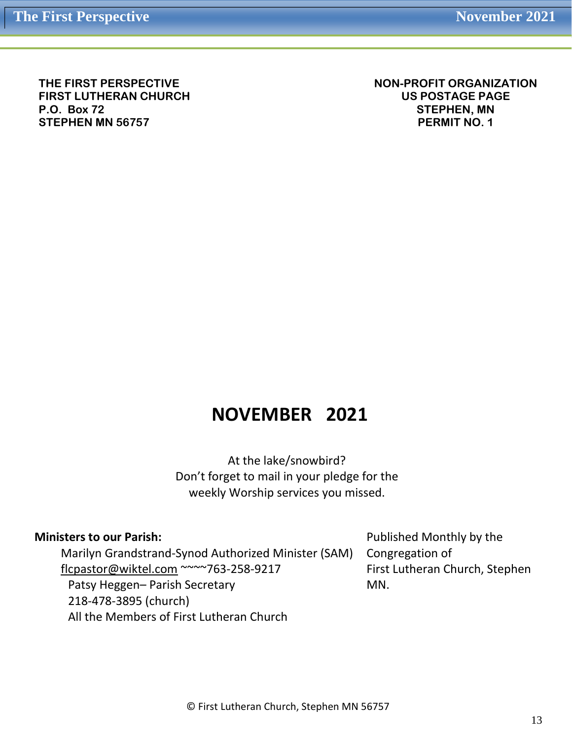**THE FIRST PERSPECTIVE FIRST LUTHERAN CHURCH P.O. Box 72 STEPHEN MN 56757**

**NON-PROFIT ORGANIZATION US POSTAGE PAGE STEPHEN, MN PERMIT NO. 1**

# **NOVEMBER 2021**

At the lake/snowbird? Don't forget to mail in your pledge for the weekly Worship services you missed.

#### **Ministers to our Parish:**

 Marilyn Grandstrand-Synod Authorized Minister (SAM) [flcpastor@wiktel.com](mailto:flcpastor@wiktel.com) ~~~~763-258-9217 Patsy Heggen– Parish Secretary 218-478-3895 (church) All the Members of First Lutheran Church

Published Monthly by the Congregation of First Lutheran Church, Stephen MN.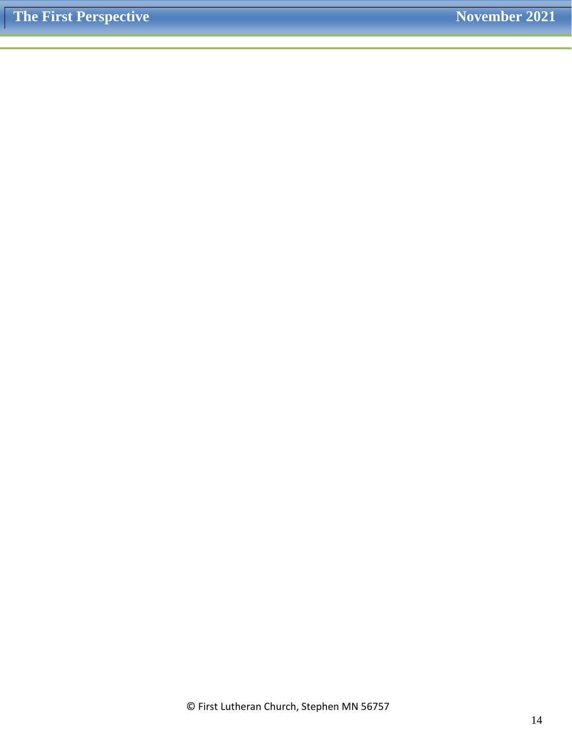© First Lutheran Church, Stephen MN 56757